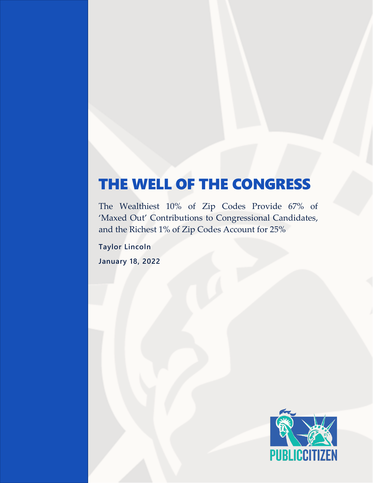# THE WELL OF THE CONGRESS

The Wealthiest 10% of Zip Codes Provide 67% of 'Maxed Out' Contributions to Congressional Candidates, and the Richest 1% of Zip Codes Account for 25%

**Taylor Lincoln January 18, 2022**

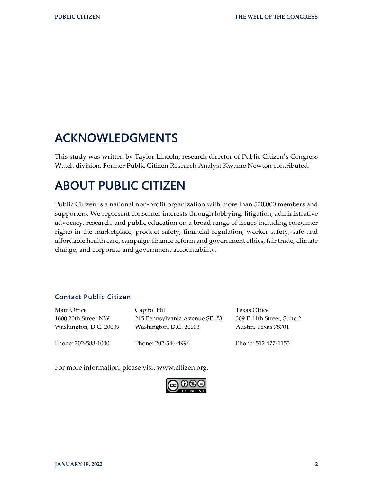# **ACKNOWLEDGMENTS**

This study was written by Taylor Lincoln, research director of Public Citizen's Congress Watch division. Former Public Citizen Research Analyst Kwame Newton contributed.

# **ABOUT PUBLIC CITIZEN**

Public Citizen is a national non-profit organization with more than 500,000 members and supporters. We represent consumer interests through lobbying, litigation, administrative advocacy, research, and public education on a broad range of issues including consumer rights in the marketplace, product safety, financial regulation, worker safety, safe and affordable health care, campaign finance reform and government ethics, fair trade, climate change, and corporate and government accountability.

#### **Contact Public Citizen**

| Main Office            | Capitol Hill                   | Texas Office               |
|------------------------|--------------------------------|----------------------------|
| 1600 20th Street NW    | 215 Pennsylvania Avenue SE, #3 | 309 E 11th Street, Suite 2 |
| Washington, D.C. 20009 | Washington, D.C. 20003         | Austin, Texas 78701        |
| Phone: 202-588-1000    | Phone: 202-546-4996            | Phone: 512 477-1155        |

For more information, please visit www.citizen.org.

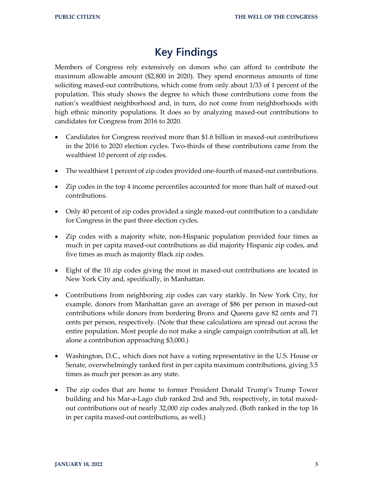### **Key Findings**

Members of Congress rely extensively on donors who can afford to contribute the maximum allowable amount (\$2,800 in 2020). They spend enormous amounts of time soliciting maxed-out contributions, which come from only about 1/33 of 1 percent of the population. This study shows the degree to which those contributions come from the nation's wealthiest neighborhood and, in turn, do not come from neighborhoods with high ethnic minority populations. It does so by analyzing maxed-out contributions to candidates for Congress from 2016 to 2020.

- Candidates for Congress received more than \$1.6 billion in maxed-out contributions in the 2016 to 2020 election cycles. Two-thirds of these contributions came from the wealthiest 10 percent of zip codes.
- The wealthiest 1 percent of zip codes provided one-fourth of maxed-out contributions.
- Zip codes in the top 4 income percentiles accounted for more than half of maxed-out contributions.
- Only 40 percent of zip codes provided a single maxed-out contribution to a candidate for Congress in the past three election cycles.
- Zip codes with a majority white, non-Hispanic population provided four times as much in per capita maxed-out contributions as did majority Hispanic zip codes, and five times as much as majority Black zip codes.
- Eight of the 10 zip codes giving the most in maxed-out contributions are located in New York City and, specifically, in Manhattan.
- Contributions from neighboring zip codes can vary starkly. In New York City, for example, donors from Manhattan gave an average of \$86 per person in maxed-out contributions while donors from bordering Bronx and Queens gave 82 cents and 71 cents per person, respectively. (Note that these calculations are spread out across the entire population. Most people do not make a single campaign contribution at all, let alone a contribution approaching \$3,000.)
- Washington, D.C., which does not have a voting representative in the U.S. House or Senate, overwhelmingly ranked first in per capita maximum contributions, giving 3.5 times as much per person as any state.
- The zip codes that are home to former President Donald Trump's Trump Tower building and his Mar-a-Lago club ranked 2nd and 5th, respectively, in total maxedout contributions out of nearly 32,000 zip codes analyzed. (Both ranked in the top 16 in per capita maxed-out contributions, as well.)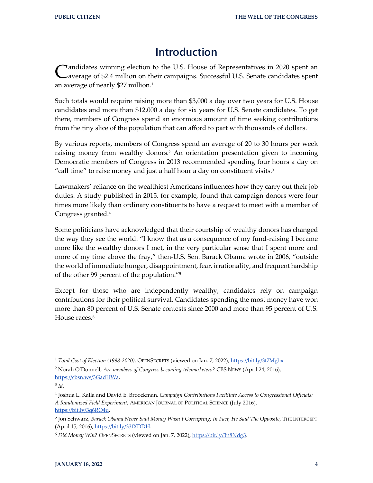### **Introduction**

Candidates winning election to the U.S. House of Representatives in 2020 spent an average of \$2.4 million on their campaigns. Successful U.S. Senate candidates spent average of \$2.4 million on their campaigns. Successful U.S. Senate candidates spent an average of nearly \$27 million.<sup>1</sup>

Such totals would require raising more than \$3,000 a day over two years for U.S. House candidates and more than \$12,000 a day for six years for U.S. Senate candidates. To get there, members of Congress spend an enormous amount of time seeking contributions from the tiny slice of the population that can afford to part with thousands of dollars.

By various reports, members of Congress spend an average of 20 to 30 hours per week raising money from wealthy donors.<sup>2</sup> An orientation presentation given to incoming Democratic members of Congress in 2013 recommended spending four hours a day on "call time" to raise money and just a half hour a day on constituent visits.<sup>3</sup>

Lawmakers' reliance on the wealthiest Americans influences how they carry out their job duties. A study published in 2015, for example, found that campaign donors were four times more likely than ordinary constituents to have a request to meet with a member of Congress granted. 4

Some politicians have acknowledged that their courtship of wealthy donors has changed the way they see the world. "I know that as a consequence of my fund-raising I became more like the wealthy donors I met, in the very particular sense that I spent more and more of my time above the fray," then-U.S. Sen. Barack Obama wrote in 2006, "outside the world of immediate hunger, disappointment, fear, irrationality, and frequent hardship of the other 99 percent of the population." 5

Except for those who are independently wealthy, candidates rely on campaign contributions for their political survival. Candidates spending the most money have won more than 80 percent of U.S. Senate contests since 2000 and more than 95 percent of U.S. House races.<sup>6</sup>

<sup>1</sup> *Total Cost of Election (1998-2020)*, OPENSECRETS (viewed on Jan. 7, 2022),<https://bit.ly/3t7Mgbx>

<sup>2</sup> Norah O'Donnell, *Are members of Congress becoming telemarketers?* CBS NEWS (April 24, 2016), [https://cbsn.ws/3GadHWa.](https://cbsn.ws/3GadHWa)

<sup>3</sup> *Id.*

<sup>4</sup> Joshua L. Kalla and David E. Broockman, *Campaign Contributions Facilitate Access to Congressional Officials: A Randomized Field Experiment*, AMERICAN JOURNAL OF POLITICAL SCIENCE (July 2016), [https://bit.ly/3q6RO4u.](https://bit.ly/3q6RO4u)

<sup>5</sup> Jon Schwarz, *Barack Obama Never Said Money Wasn't Corrupting; In Fact, He Said The Opposite*, THE INTERCEPT (April 15, 2016)[, https://bit.ly/33fXDDH.](https://bit.ly/33fXDDH)

<sup>&</sup>lt;sup>6</sup> Did Money Win? OPENSECRETS (viewed on Jan. 7, 2022)[, https://bit.ly/3n8Ndg3.](https://bit.ly/3n8Ndg3)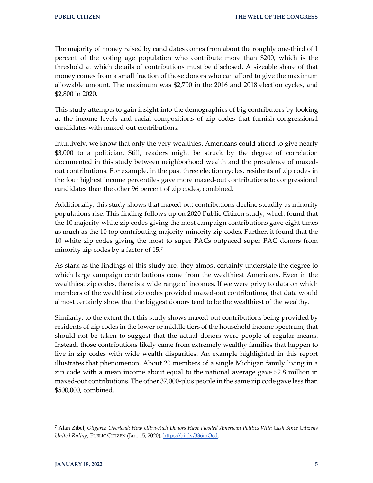The majority of money raised by candidates comes from about the roughly one-third of 1 percent of the voting age population who contribute more than \$200, which is the threshold at which details of contributions must be disclosed. A sizeable share of that money comes from a small fraction of those donors who can afford to give the maximum allowable amount. The maximum was \$2,700 in the 2016 and 2018 election cycles, and \$2,800 in 2020.

This study attempts to gain insight into the demographics of big contributors by looking at the income levels and racial compositions of zip codes that furnish congressional candidates with maxed-out contributions.

Intuitively, we know that only the very wealthiest Americans could afford to give nearly \$3,000 to a politician. Still, readers might be struck by the degree of correlation documented in this study between neighborhood wealth and the prevalence of maxedout contributions. For example, in the past three election cycles, residents of zip codes in the four highest income percentiles gave more maxed-out contributions to congressional candidates than the other 96 percent of zip codes, combined.

Additionally, this study shows that maxed-out contributions decline steadily as minority populations rise. This finding follows up on 2020 Public Citizen study, which found that the 10 majority-white zip codes giving the most campaign contributions gave eight times as much as the 10 top contributing majority-minority zip codes. Further, it found that the 10 white zip codes giving the most to super PACs outpaced super PAC donors from minority zip codes by a factor of 15.<sup>7</sup>

As stark as the findings of this study are, they almost certainly understate the degree to which large campaign contributions come from the wealthiest Americans. Even in the wealthiest zip codes, there is a wide range of incomes. If we were privy to data on which members of the wealthiest zip codes provided maxed-out contributions, that data would almost certainly show that the biggest donors tend to be the wealthiest of the wealthy.

Similarly, to the extent that this study shows maxed-out contributions being provided by residents of zip codes in the lower or middle tiers of the household income spectrum, that should not be taken to suggest that the actual donors were people of regular means. Instead, those contributions likely came from extremely wealthy families that happen to live in zip codes with wide wealth disparities. An example highlighted in this report illustrates that phenomenon. About 20 members of a single Michigan family living in a zip code with a mean income about equal to the national average gave \$2.8 million in maxed-out contributions. The other 37,000-plus people in the same zip code gave less than \$500,000, combined.

<sup>7</sup> Alan Zibel, *Oligarch Overload: How Ultra-Rich Donors Have Flooded American Politics With Cash Since Citizens United Ruling*, PUBLIC CITIZEN (Jan. 15, 2020), [https://bit.ly/336mOcd.](https://bit.ly/336mOcd)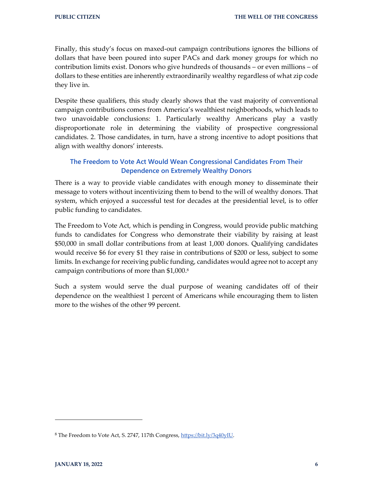Finally, this study's focus on maxed-out campaign contributions ignores the billions of dollars that have been poured into super PACs and dark money groups for which no contribution limits exist. Donors who give hundreds of thousands – or even millions – of dollars to these entities are inherently extraordinarily wealthy regardless of what zip code they live in.

Despite these qualifiers, this study clearly shows that the vast majority of conventional campaign contributions comes from America's wealthiest neighborhoods, which leads to two unavoidable conclusions: 1. Particularly wealthy Americans play a vastly disproportionate role in determining the viability of prospective congressional candidates. 2. Those candidates, in turn, have a strong incentive to adopt positions that align with wealthy donors' interests.

#### **The Freedom to Vote Act Would Wean Congressional Candidates From Their Dependence on Extremely Wealthy Donors**

There is a way to provide viable candidates with enough money to disseminate their message to voters without incentivizing them to bend to the will of wealthy donors. That system, which enjoyed a successful test for decades at the presidential level, is to offer public funding to candidates.

The Freedom to Vote Act, which is pending in Congress, would provide public matching funds to candidates for Congress who demonstrate their viability by raising at least \$50,000 in small dollar contributions from at least 1,000 donors. Qualifying candidates would receive \$6 for every \$1 they raise in contributions of \$200 or less, subject to some limits. In exchange for receiving public funding, candidates would agree not to accept any campaign contributions of more than \$1,000. 8

Such a system would serve the dual purpose of weaning candidates off of their dependence on the wealthiest 1 percent of Americans while encouraging them to listen more to the wishes of the other 99 percent.

<sup>&</sup>lt;sup>8</sup> The Freedom to Vote Act, S. 2747, 117th Congress, [https://bit.ly/3q40yIU.](https://bit.ly/3q40yIU)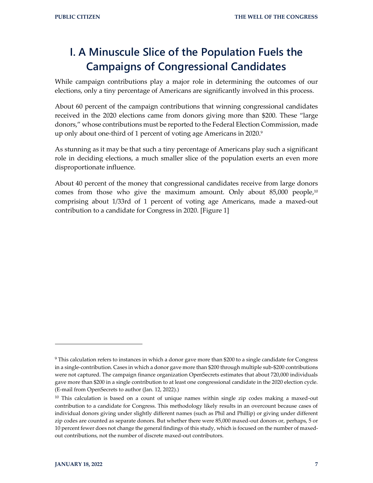# **I. A Minuscule Slice of the Population Fuels the Campaigns of Congressional Candidates**

While campaign contributions play a major role in determining the outcomes of our elections, only a tiny percentage of Americans are significantly involved in this process.

About 60 percent of the campaign contributions that winning congressional candidates received in the 2020 elections came from donors giving more than \$200. These "large donors," whose contributions must be reported to the Federal Election Commission, made up only about one-third of 1 percent of voting age Americans in 2020.9

As stunning as it may be that such a tiny percentage of Americans play such a significant role in deciding elections, a much smaller slice of the population exerts an even more disproportionate influence.

About 40 percent of the money that congressional candidates receive from large donors comes from those who give the maximum amount. Only about 85,000 people, 10 comprising about 1/33rd of 1 percent of voting age Americans, made a maxed-out contribution to a candidate for Congress in 2020. [Figure 1]

 $9$  This calculation refers to instances in which a donor gave more than \$200 to a single candidate for Congress in a single-contribution. Cases in which a donor gave more than \$200 through multiple sub-\$200 contributions were not captured. The campaign finance organization OpenSecrets estimates that about 720,000 individuals gave more than \$200 in a single contribution to at least one congressional candidate in the 2020 election cycle. (E-mail from OpenSecrets to author (Jan. 12, 2022).)

 $10$  This calculation is based on a count of unique names within single zip codes making a maxed-out contribution to a candidate for Congress. This methodology likely results in an overcount because cases of individual donors giving under slightly different names (such as Phil and Phillip) or giving under different zip codes are counted as separate donors. But whether there were 85,000 maxed-out donors or, perhaps, 5 or 10 percent fewer does not change the general findings of this study, which is focused on the number of maxedout contributions, not the number of discrete maxed-out contributors.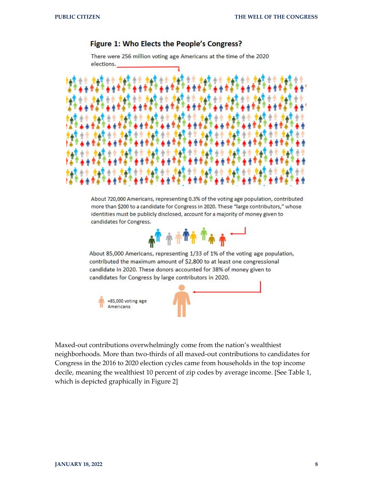#### Figure 1: Who Elects the People's Congress?

There were 256 million voting age Americans at the time of the 2020 elections.



About 720,000 Americans, representing 0.3% of the voting age population, contributed more than \$200 to a candidate for Congress in 2020. These "large contributors," whose identities must be publicly disclosed, account for a majority of money given to candidates for Congress.



About 85,000 Americans, representing 1/33 of 1% of the voting age population, contributed the maximum amount of \$2,800 to at least one congressional candidate in 2020. These donors accounted for 38% of money given to candidates for Congress by large contributors in 2020.



Maxed-out contributions overwhelmingly come from the nation's wealthiest neighborhoods. More than two-thirds of all maxed-out contributions to candidates for Congress in the 2016 to 2020 election cycles came from households in the top income decile, meaning the wealthiest 10 percent of zip codes by average income. [See Table 1, which is depicted graphically in Figure 2]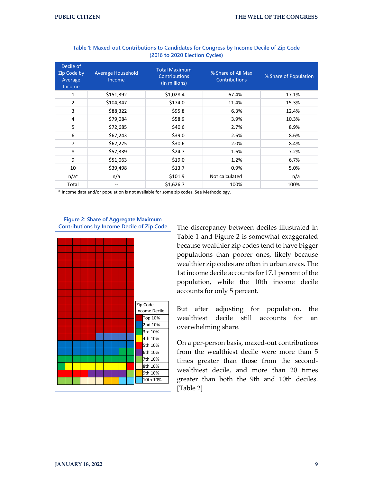| Decile of<br>Zip Code by<br>Average<br>Income | <b>Average Household</b><br>Income | <b>Total Maximum</b><br><b>Contributions</b><br>(in millions) | % Share of All Max<br><b>Contributions</b> | % Share of Population |
|-----------------------------------------------|------------------------------------|---------------------------------------------------------------|--------------------------------------------|-----------------------|
| 1                                             | \$151,392                          | \$1,028.4                                                     | 67.4%                                      | 17.1%                 |
| $\overline{2}$                                | \$104,347                          | \$174.0                                                       | 11.4%                                      | 15.3%                 |
| 3                                             | \$88,322                           | \$95.8                                                        | 6.3%                                       | 12.4%                 |
| 4                                             | \$79,084                           | \$58.9                                                        | 3.9%                                       | 10.3%                 |
| 5                                             | \$72,685                           | \$40.6                                                        | 2.7%                                       | 8.9%                  |
| 6                                             | \$67,243                           | \$39.0                                                        | 2.6%                                       | 8.6%                  |
| $\overline{7}$                                | \$62,275                           | \$30.6                                                        | 2.0%                                       | 8.4%                  |
| 8                                             | \$57,339                           | \$24.7                                                        | 1.6%                                       | 7.2%                  |
| 9                                             | \$51,063                           | \$19.0                                                        | 1.2%                                       | 6.7%                  |
| 10                                            | \$39,498                           | \$13.7                                                        | 0.9%                                       | 5.0%                  |
| $n/a^*$                                       | n/a                                | \$101.9                                                       | Not calculated                             | n/a                   |
| Total                                         | --                                 | \$1,626.7                                                     | 100%                                       | 100%                  |

#### **Table 1: Maxed-out Contributions to Candidates for Congress by Income Decile of Zip Code (2016 to 2020 Election Cycles)**

\* Income data and/or population is not available for some zip codes. See Methodology.



#### **Figure 2: Share of Aggregate Maximum Contributions by Income Decile of Zip Code**

The discrepancy between deciles illustrated in Table 1 and Figure 2 is somewhat exaggerated because wealthier zip codes tend to have bigger populations than poorer ones, likely because wealthier zip codes are often in urban areas. The 1st income decile accounts for 17.1 percent of the population, while the 10th income decile accounts for only 5 percent.

But after adjusting for population, the wealthiest decile still accounts for an overwhelming share.

On a per-person basis, maxed-out contributions from the wealthiest decile were more than 5 times greater than those from the secondwealthiest decile, and more than 20 times greater than both the 9th and 10th deciles. [Table 2]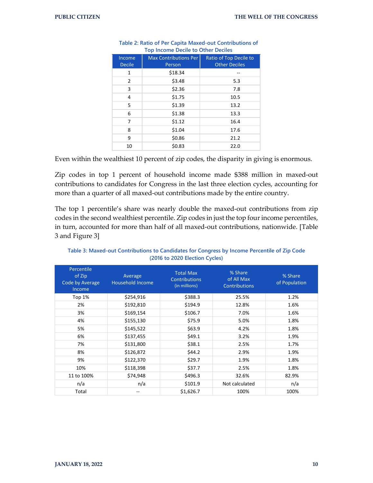| Income<br><b>Decile</b> | <b>Max Contributions Per</b><br>Person | Ratio of Top Decile to<br><b>Other Deciles</b> |
|-------------------------|----------------------------------------|------------------------------------------------|
| 1                       | \$18.34                                |                                                |
| $\overline{2}$          | \$3.48                                 | 5.3                                            |
| 3                       | \$2.36                                 | 7.8                                            |
| 4                       | \$1.75                                 | 10.5                                           |
| 5                       | \$1.39                                 | 13.2                                           |
| 6                       | \$1.38                                 | 13.3                                           |
| 7                       | \$1.12                                 | 16.4                                           |
| 8                       | \$1.04                                 | 17.6                                           |
| 9                       | \$0.86                                 | 21.2                                           |
| 10                      | \$0.83                                 | 22.0                                           |

| Table 2: Ratio of Per Capita Maxed-out Contributions of |
|---------------------------------------------------------|
| <b>Top Income Decile to Other Deciles</b>               |

Even within the wealthiest 10 percent of zip codes, the disparity in giving is enormous.

Zip codes in top 1 percent of household income made \$388 million in maxed-out contributions to candidates for Congress in the last three election cycles, accounting for more than a quarter of all maxed-out contributions made by the entire country.

The top 1 percentile's share was nearly double the maxed-out contributions from zip codes in the second wealthiest percentile. Zip codes in just the top four income percentiles, in turn, accounted for more than half of all maxed-out contributions, nationwide. [Table 3 and Figure 3]

| Percentile<br>of Zip<br>Code by Average<br>Income | Average<br><b>Household Income</b> | <b>Total Max</b><br><b>Contributions</b><br>(in millions) | % Share<br>of All Max<br><b>Contributions</b> | % Share<br>of Population |
|---------------------------------------------------|------------------------------------|-----------------------------------------------------------|-----------------------------------------------|--------------------------|
| Top $1%$                                          | \$254,916                          | \$388.3                                                   | 25.5%                                         | 1.2%                     |
| 2%                                                | \$192,810                          | \$194.9                                                   | 12.8%                                         | 1.6%                     |
| 3%                                                | \$169,154                          | \$106.7                                                   | 7.0%                                          | 1.6%                     |
| 4%                                                | \$155,130                          | \$75.9                                                    | 5.0%                                          | 1.8%                     |
| 5%                                                | \$145,522                          | \$63.9                                                    | 4.2%                                          | 1.8%                     |
| 6%                                                | \$137,455                          | \$49.1                                                    | 3.2%                                          | 1.9%                     |
| 7%                                                | \$131,800                          | \$38.1                                                    | 2.5%                                          | 1.7%                     |
| 8%                                                | \$126,872                          | \$44.2                                                    | 2.9%                                          | 1.9%                     |
| 9%                                                | \$122,370                          | \$29.7                                                    | 1.9%                                          | 1.8%                     |
| 10%                                               | \$118,398                          | \$37.7                                                    | 2.5%                                          | 1.8%                     |
| 11 to 100%                                        | \$74,948                           | \$496.3                                                   | 32.6%                                         | 82.9%                    |
| n/a                                               | n/a                                | \$101.9                                                   | Not calculated                                | n/a                      |
| Total                                             |                                    | \$1,626.7                                                 | 100%                                          | 100%                     |

**Table 3: Maxed-out Contributions to Candidates for Congress by Income Percentile of Zip Code (2016 to 2020 Election Cycles)**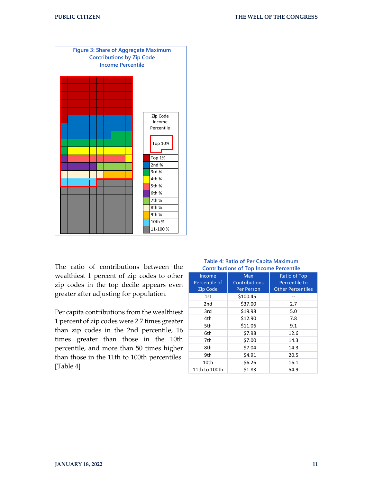

The ratio of contributions between the wealthiest 1 percent of zip codes to other zip codes in the top decile appears even greater after adjusting for population.

Per capita contributions from the wealthiest 1 percent of zip codes were 2.7 times greater than zip codes in the 2nd percentile, 16 times greater than those in the 10th percentile, and more than 50 times higher than those in the 11th to 100th percentiles. [Table 4]

|                 | continuations of top medine reference |                          |
|-----------------|---------------------------------------|--------------------------|
| Income          | <b>Max</b>                            | <b>Ratio of Top</b>      |
| Percentile of   | <b>Contributions</b>                  | Percentile to            |
| Zip Code        | <b>Per Person</b>                     | <b>Other Percentiles</b> |
| 1st             | \$100.45                              |                          |
| 2 <sub>nd</sub> | \$37.00                               | 2.7                      |
| 3rd             | \$19.98                               | 5.0                      |
| 4th             | \$12.90                               | 7.8                      |
| 5th             | \$11.06                               | 9.1                      |
| 6th             | \$7.98                                | 12.6                     |
| 7th             | \$7.00                                | 14.3                     |
| 8th             | \$7.04                                | 14.3                     |
| 9th             | \$4.91                                | 20.5                     |
| 10th            | \$6.26                                | 16.1                     |
| 11th to 100th   | \$1.83                                | 54.9                     |

#### **Table 4: Ratio of Per Capita Maximum Contributions of Top Income Percentile**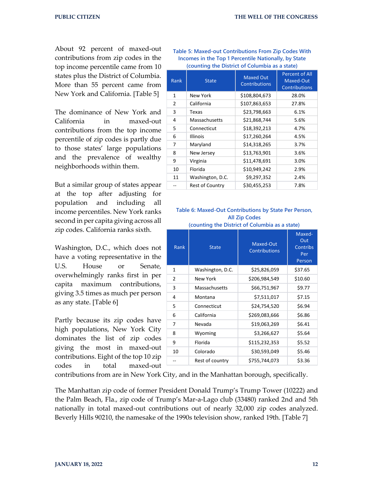About 92 percent of maxed-out contributions from zip codes in the top income percentile came from 10 states plus the District of Columbia. More than 55 percent came from New York and California. [Table 5]

The dominance of New York and California in maxed-out contributions from the top income percentile of zip codes is partly due to those states' large populations and the prevalence of wealthy neighborhoods within them.

But a similar group of states appear at the top after adjusting for population and including all income percentiles. New York ranks second in per capita giving across all zip codes. California ranks sixth.

Washington, D.C., which does not have a voting representative in the U.S. House or Senate, overwhelmingly ranks first in per capita maximum contributions, giving 3.5 times as much per person as any state. [Table 6]

Partly because its zip codes have high populations, New York City dominates the list of zip codes giving the most in maxed-out contributions. Eight of the top 10 zip codes in total maxed-out

**Table 5: Maxed-out Contributions From Zip Codes With Incomes in the Top 1 Percentile Nationally, by State (counting the District of Columbia as a state)**

| Rank | <b>State</b>           | <b>Maxed Out</b><br><b>Contributions</b> | <b>Percent of All</b><br>Maxed-Out<br>Contributions |
|------|------------------------|------------------------------------------|-----------------------------------------------------|
| 1    | New York               | \$108,804,673                            | 28.0%                                               |
| 2    | California             | \$107,863,653                            | 27.8%                                               |
| 3    | Texas                  | \$23,798,663                             | 6.1%                                                |
| 4    | Massachusetts          | \$21,868,744                             | 5.6%                                                |
| 5    | Connecticut            | \$18,392,213                             | 4.7%                                                |
| 6    | <b>Illinois</b>        | \$17,260,264                             | 4.5%                                                |
| 7    | Maryland               | \$14,318,265                             | 3.7%                                                |
| 8    | New Jersey             | \$13,763,901                             | 3.6%                                                |
| 9    | Virginia               | \$11,478,691                             | 3.0%                                                |
| 10   | Florida                | \$10,949,242                             | 2.9%                                                |
| 11   | Washington, D.C.       | \$9,297,352                              | 2.4%                                                |
|      | <b>Rest of Country</b> | \$30,455,253                             | 7.8%                                                |

#### **Table 6: Maxed-Out Contributions by State Per Person, All Zip Codes**

| \$25,826,059<br>\$37.65<br>Washington, D.C.<br>1<br>\$10.60<br>2<br>\$206,984,549<br>New York<br>3<br>\$9.77<br>Massachusetts<br>\$66,751,967<br>\$7,511,017<br>\$7.15<br>4<br>Montana<br>\$6.94<br>5<br>\$24,754,520<br>Connecticut | Rank | <b>State</b> | Maxed-Out<br><b>Contributions</b> | Maxed-<br>Out<br><b>Contribs</b><br>Per<br>Person |
|--------------------------------------------------------------------------------------------------------------------------------------------------------------------------------------------------------------------------------------|------|--------------|-----------------------------------|---------------------------------------------------|
|                                                                                                                                                                                                                                      |      |              |                                   |                                                   |
|                                                                                                                                                                                                                                      |      |              |                                   |                                                   |
|                                                                                                                                                                                                                                      |      |              |                                   |                                                   |
|                                                                                                                                                                                                                                      |      |              |                                   |                                                   |
|                                                                                                                                                                                                                                      |      |              |                                   |                                                   |
|                                                                                                                                                                                                                                      | 6    | California   | \$269,083,666                     | \$6.86                                            |
| \$6.41<br>\$19,063,269<br>7<br>Nevada                                                                                                                                                                                                |      |              |                                   |                                                   |
| \$3,266,627<br>\$5.64<br>8<br>Wyoming                                                                                                                                                                                                |      |              |                                   |                                                   |
| 9<br>Florida<br>\$115,232,353<br>\$5.52                                                                                                                                                                                              |      |              |                                   |                                                   |
| \$5.46<br>10<br>Colorado<br>\$30,593,049                                                                                                                                                                                             |      |              |                                   |                                                   |
| \$3.36<br>\$755,744,073<br>Rest of country                                                                                                                                                                                           |      |              |                                   |                                                   |

**(counting the District of Columbia as a state)**

contributions from are in New York City, and in the Manhattan borough, specifically.

The Manhattan zip code of former President Donald Trump's Trump Tower (10222) and the Palm Beach, Fla., zip code of Trump's Mar-a-Lago club (33480) ranked 2nd and 5th nationally in total maxed-out contributions out of nearly 32,000 zip codes analyzed. Beverly Hills 90210, the namesake of the 1990s television show, ranked 19th. [Table 7]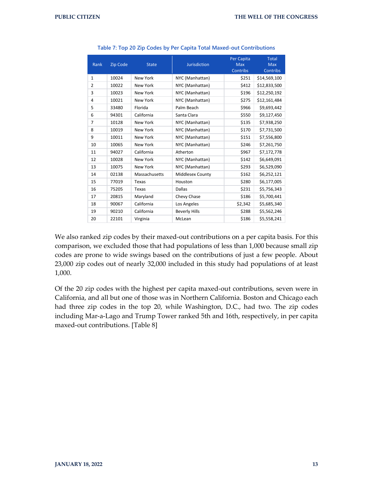|                |                 |                 |                      | Per Capita      | <b>Total</b> |
|----------------|-----------------|-----------------|----------------------|-----------------|--------------|
| Rank           | <b>Zip Code</b> | <b>State</b>    | <b>Jurisdiction</b>  | <b>Max</b>      | <b>Max</b>   |
|                |                 |                 |                      | <b>Contribs</b> | Contribs     |
| $\mathbf{1}$   | 10024           | New York        | NYC (Manhattan)      | \$251           | \$14,569,100 |
| $\overline{2}$ | 10022           | New York        | NYC (Manhattan)      | \$412           | \$12,833,500 |
| 3              | 10023           | <b>New York</b> | NYC (Manhattan)      | \$196           | \$12,250,192 |
| 4              | 10021           | New York        | NYC (Manhattan)      | \$275           | \$12,161,484 |
| 5              | 33480           | Florida         | Palm Beach           | \$966           | \$9,693,442  |
| 6              | 94301           | California      | Santa Clara          | \$550           | \$9,127,450  |
| 7              | 10128           | <b>New York</b> | NYC (Manhattan)      | \$135           | \$7,938,250  |
| 8              | 10019           | New York        | NYC (Manhattan)      | \$170           | \$7,731,500  |
| 9              | 10011           | <b>New York</b> | NYC (Manhattan)      | \$151           | \$7,556,800  |
| 10             | 10065           | <b>New York</b> | NYC (Manhattan)      | \$246           | \$7,261,750  |
| 11             | 94027           | California      | Atherton             | \$967           | \$7,172,778  |
| 12             | 10028           | New York        | NYC (Manhattan)      | \$142           | \$6,649,091  |
| 13             | 10075           | New York        | NYC (Manhattan)      | \$293           | \$6,529,090  |
| 14             | 02138           | Massachusetts   | Middlesex County     | \$162           | \$6,252,121  |
| 15             | 77019           | Texas           | Houston              | \$280           | \$6,177,005  |
| 16             | 75205           | Texas           | <b>Dallas</b>        | \$231           | \$5,756,343  |
| 17             | 20815           | Maryland        | Chevy Chase          | \$186           | \$5,700,441  |
| 18             | 90067           | California      | Los Angeles          | \$2,342         | \$5,685,340  |
| 19             | 90210           | California      | <b>Beverly Hills</b> | \$288           | \$5,562,246  |
| 20             | 22101           | Virginia        | McLean               | \$186           | \$5,558,241  |

**Table 7: Top 20 Zip Codes by Per Capita Total Maxed-out Contributions**

We also ranked zip codes by their maxed-out contributions on a per capita basis. For this comparison, we excluded those that had populations of less than 1,000 because small zip codes are prone to wide swings based on the contributions of just a few people. About 23,000 zip codes out of nearly 32,000 included in this study had populations of at least 1,000.

Of the 20 zip codes with the highest per capita maxed-out contributions, seven were in California, and all but one of those was in Northern California. Boston and Chicago each had three zip codes in the top 20, while Washington, D.C., had two. The zip codes including Mar-a-Lago and Trump Tower ranked 5th and 16th, respectively, in per capita maxed-out contributions. [Table 8]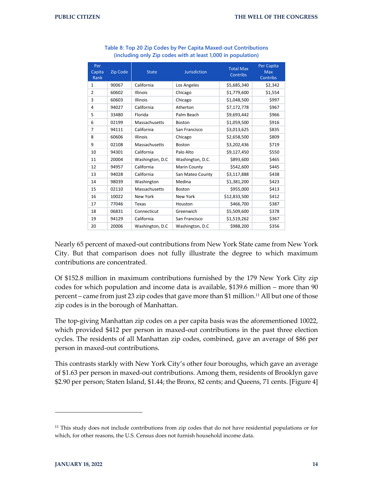| Per<br>Capita<br>Rank | <b>Zip Code</b> | <b>State</b>    | <b>Jurisdiction</b> | <b>Total Max</b><br><b>Contribs</b> | Per Capita<br><b>Max</b><br><b>Contribs</b> |
|-----------------------|-----------------|-----------------|---------------------|-------------------------------------|---------------------------------------------|
| $\mathbf{1}$          | 90067           | California      | Los Angeles         | \$5,685,340                         | \$2,342                                     |
| $\overline{2}$        | 60602           | <b>Illinois</b> | Chicago             | \$1,779,600                         | \$1,554                                     |
| 3                     | 60603           | <b>Illinois</b> | Chicago             | \$1,048,500                         | \$997                                       |
| 4                     | 94027           | California      | Atherton            | \$7,172,778                         | \$967                                       |
| 5                     | 33480           | Florida         | Palm Beach          | \$9,693,442                         | \$966                                       |
| 6                     | 02199           | Massachusetts   | Boston              | \$1,059,500                         | \$916                                       |
| $\overline{7}$        | 94111           | California      | San Francisco       | \$3,013,625                         | \$835                                       |
| 8                     | 60606           | <b>Illinois</b> | Chicago             | \$2,658,500                         | \$809                                       |
| 9                     | 02108           | Massachusetts   | Boston              | \$3,202,436                         | \$719                                       |
| 10                    | 94301           | California      | Palo Alto           | \$9,127,450                         | \$550                                       |
| 11                    | 20004           | Washington, D.C | Washington, D.C.    | \$893,600                           | \$465                                       |
| 12                    | 94957           | California      | Marin County        | \$542,600                           | \$445                                       |
| 13                    | 94028           | California      | San Mateo County    | \$3,117,888                         | \$438                                       |
| 14                    | 98039           | Washington      | Medina              | \$1,381,200                         | \$423                                       |
| 15                    | 02110           | Massachusetts   | <b>Boston</b>       | \$955,000                           | \$413                                       |
| 16                    | 10022           | New York        | New York            | \$12,833,500                        | \$412                                       |
| 17                    | 77046           | Texas           | Houston             | \$466,700                           | \$387                                       |
| 18                    | 06831           | Connecticut     | Greenwich           | \$5,509,600                         | \$378                                       |
| 19                    | 94129           | California      | San Francisco       | \$1,519,262                         | \$367                                       |
| 20                    | 20006           | Washington, D.C | Washington, D.C     | \$988,200                           | \$356                                       |

| Table 8: Top 20 Zip Codes by Per Capita Maxed-out Contributions |
|-----------------------------------------------------------------|
| (including only Zip codes with at least 1,000 in population)    |

Nearly 65 percent of maxed-out contributions from New York State came from New York City. But that comparison does not fully illustrate the degree to which maximum contributions are concentrated.

Of \$152.8 million in maximum contributions furnished by the 179 New York City zip codes for which population and income data is available, \$139.6 million – more than 90 percent – came from just 23 zip codes that gave more than \$1 million. <sup>11</sup> All but one of those zip codes is in the borough of Manhattan.

The top-giving Manhattan zip codes on a per capita basis was the aforementioned 10022, which provided \$412 per person in maxed-out contributions in the past three election cycles. The residents of all Manhattan zip codes, combined, gave an average of \$86 per person in maxed-out contributions.

This contrasts starkly with New York City's other four boroughs, which gave an average of \$1.63 per person in maxed-out contributions. Among them, residents of Brooklyn gave \$2.90 per person; Staten Island, \$1.44; the Bronx, 82 cents; and Queens, 71 cents. [Figure 4]

<sup>&</sup>lt;sup>11</sup> This study does not include contributions from zip codes that do not have residential populations or for which, for other reasons, the U.S. Census does not furnish household income data.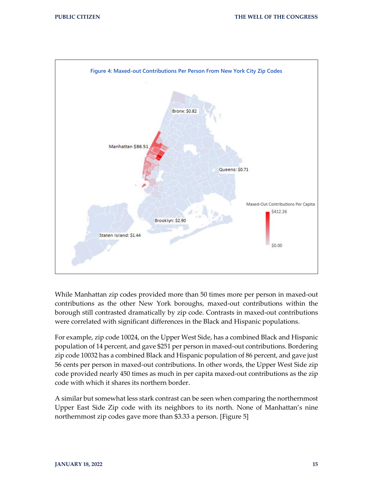

While Manhattan zip codes provided more than 50 times more per person in maxed-out contributions as the other New York boroughs, maxed-out contributions within the borough still contrasted dramatically by zip code. Contrasts in maxed-out contributions were correlated with significant differences in the Black and Hispanic populations.

For example, zip code 10024, on the Upper West Side, has a combined Black and Hispanic population of 14 percent, and gave \$251 per person in maxed-out contributions. Bordering zip code 10032 has a combined Black and Hispanic population of 86 percent, and gave just 56 cents per person in maxed-out contributions. In other words, the Upper West Side zip code provided nearly 450 times as much in per capita maxed-out contributions as the zip code with which it shares its northern border.

A similar but somewhat less stark contrast can be seen when comparing the northernmost Upper East Side Zip code with its neighbors to its north. None of Manhattan's nine northernmost zip codes gave more than \$3.33 a person. [Figure 5]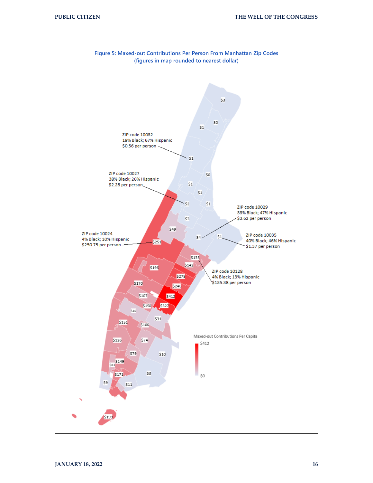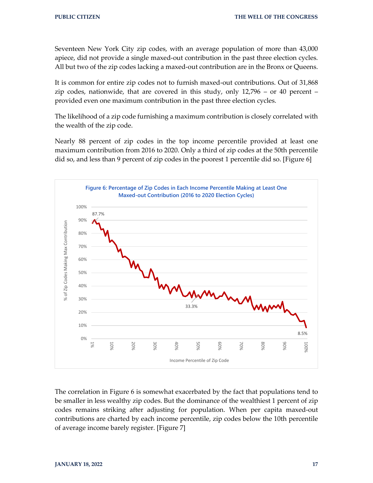Seventeen New York City zip codes, with an average population of more than 43,000 apiece, did not provide a single maxed-out contribution in the past three election cycles. All but two of the zip codes lacking a maxed-out contribution are in the Bronx or Queens.

It is common for entire zip codes not to furnish maxed-out contributions. Out of 31,868 zip codes, nationwide, that are covered in this study, only  $12,796 -$  or  $40$  percent – provided even one maximum contribution in the past three election cycles.

The likelihood of a zip code furnishing a maximum contribution is closely correlated with the wealth of the zip code.

Nearly 88 percent of zip codes in the top income percentile provided at least one maximum contribution from 2016 to 2020. Only a third of zip codes at the 50th percentile did so, and less than 9 percent of zip codes in the poorest 1 percentile did so. [Figure 6]



The correlation in Figure 6 is somewhat exacerbated by the fact that populations tend to be smaller in less wealthy zip codes. But the dominance of the wealthiest 1 percent of zip codes remains striking after adjusting for population. When per capita maxed-out contributions are charted by each income percentile, zip codes below the 10th percentile of average income barely register. [Figure 7]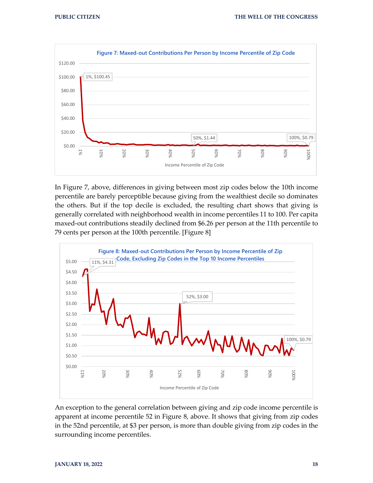

In Figure 7, above, differences in giving between most zip codes below the 10th income percentile are barely perceptible because giving from the wealthiest decile so dominates the others. But if the top decile is excluded, the resulting chart shows that giving is generally correlated with neighborhood wealth in income percentiles 11 to 100. Per capita maxed-out contributions steadily declined from \$6.26 per person at the 11th percentile to 79 cents per person at the 100th percentile. [Figure 8]



An exception to the general correlation between giving and zip code income percentile is apparent at income percentile 52 in Figure 8, above. It shows that giving from zip codes in the 52nd percentile, at \$3 per person, is more than double giving from zip codes in the surrounding income percentiles.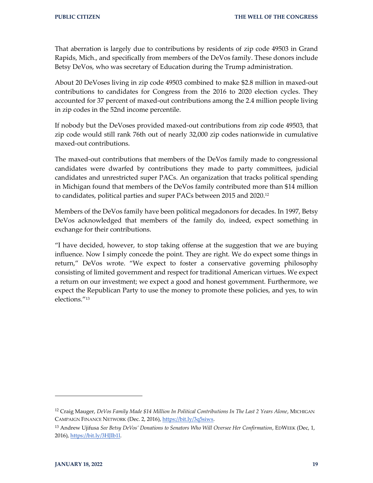That aberration is largely due to contributions by residents of zip code 49503 in Grand Rapids, Mich., and specifically from members of the DeVos family. These donors include Betsy DeVos, who was secretary of Education during the Trump administration.

About 20 DeVoses living in zip code 49503 combined to make \$2.8 million in maxed-out contributions to candidates for Congress from the 2016 to 2020 election cycles. They accounted for 37 percent of maxed-out contributions among the 2.4 million people living in zip codes in the 52nd income percentile.

If nobody but the DeVoses provided maxed-out contributions from zip code 49503, that zip code would still rank 76th out of nearly 32,000 zip codes nationwide in cumulative maxed-out contributions.

The maxed-out contributions that members of the DeVos family made to congressional candidates were dwarfed by contributions they made to party committees, judicial candidates and unrestricted super PACs. An organization that tracks political spending in Michigan found that members of the DeVos family contributed more than \$14 million to candidates, political parties and super PACs between 2015 and 2020.<sup>12</sup>

Members of the DeVos family have been political megadonors for decades. In 1997, Betsy DeVos acknowledged that members of the family do, indeed, expect something in exchange for their contributions.

"I have decided, however, to stop taking offense at the suggestion that we are buying influence. Now I simply concede the point. They are right. We do expect some things in return," DeVos wrote. "We expect to foster a conservative governing philosophy consisting of limited government and respect for traditional American virtues. We expect a return on our investment; we expect a good and honest government. Furthermore, we expect the Republican Party to use the money to promote these policies, and yes, to win elections."<sup>13</sup>

<sup>12</sup> Craig Mauger, *DeVos Family Made \$14 Million In Political Contributions In The Last 2 Years Alone*, MICHIGAN CAMPAIGN FINANCE NETWORK (Dec. 2, 2016)[, https://bit.ly/3q5siws.](https://bit.ly/3q5siws)

<sup>&</sup>lt;sup>13</sup> Andrew Ujifusa *See Betsy DeVos' Donations to Senators Who Will Oversee Her Confirmation*, EDWEEK (Dec, 1, 2016)[, https://bit.ly/3HJIb1l.](https://bit.ly/3HJIb1l)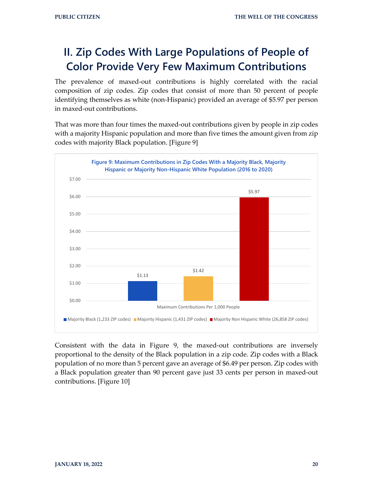# **II. Zip Codes With Large Populations of People of Color Provide Very Few Maximum Contributions**

The prevalence of maxed-out contributions is highly correlated with the racial composition of zip codes. Zip codes that consist of more than 50 percent of people identifying themselves as white (non-Hispanic) provided an average of \$5.97 per person in maxed-out contributions.

That was more than four times the maxed-out contributions given by people in zip codes with a majority Hispanic population and more than five times the amount given from zip codes with majority Black population. [Figure 9]



Consistent with the data in Figure 9, the maxed-out contributions are inversely proportional to the density of the Black population in a zip code. Zip codes with a Black population of no more than 5 percent gave an average of \$6.49 per person. Zip codes with a Black population greater than 90 percent gave just 33 cents per person in maxed-out contributions. [Figure 10]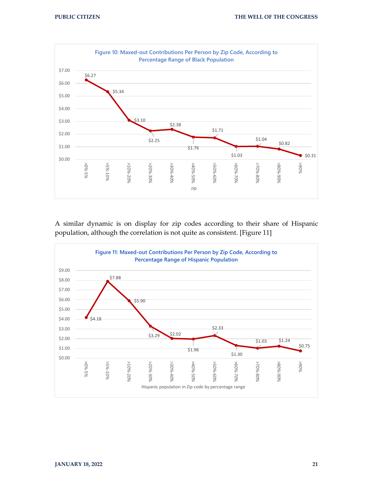

A similar dynamic is on display for zip codes according to their share of Hispanic population, although the correlation is not quite as consistent. [Figure 11]

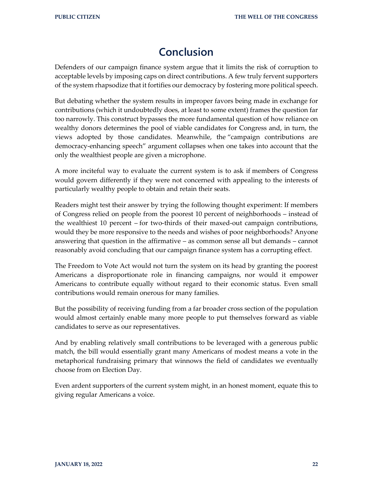### **Conclusion**

Defenders of our campaign finance system argue that it limits the risk of corruption to acceptable levels by imposing caps on direct contributions. A few truly fervent supporters of the system rhapsodize that it fortifies our democracy by fostering more political speech.

But debating whether the system results in improper favors being made in exchange for contributions (which it undoubtedly does, at least to some extent) frames the question far too narrowly. This construct bypasses the more fundamental question of how reliance on wealthy donors determines the pool of viable candidates for Congress and, in turn, the views adopted by those candidates. Meanwhile, the "campaign contributions are democracy-enhancing speech" argument collapses when one takes into account that the only the wealthiest people are given a microphone.

A more inciteful way to evaluate the current system is to ask if members of Congress would govern differently if they were not concerned with appealing to the interests of particularly wealthy people to obtain and retain their seats.

Readers might test their answer by trying the following thought experiment: If members of Congress relied on people from the poorest 10 percent of neighborhoods – instead of the wealthiest 10 percent – for two-thirds of their maxed-out campaign contributions, would they be more responsive to the needs and wishes of poor neighborhoods? Anyone answering that question in the affirmative – as common sense all but demands – cannot reasonably avoid concluding that our campaign finance system has a corrupting effect.

The Freedom to Vote Act would not turn the system on its head by granting the poorest Americans a disproportionate role in financing campaigns, nor would it empower Americans to contribute equally without regard to their economic status. Even small contributions would remain onerous for many families.

But the possibility of receiving funding from a far broader cross section of the population would almost certainly enable many more people to put themselves forward as viable candidates to serve as our representatives.

And by enabling relatively small contributions to be leveraged with a generous public match, the bill would essentially grant many Americans of modest means a vote in the metaphorical fundraising primary that winnows the field of candidates we eventually choose from on Election Day.

Even ardent supporters of the current system might, in an honest moment, equate this to giving regular Americans a voice.